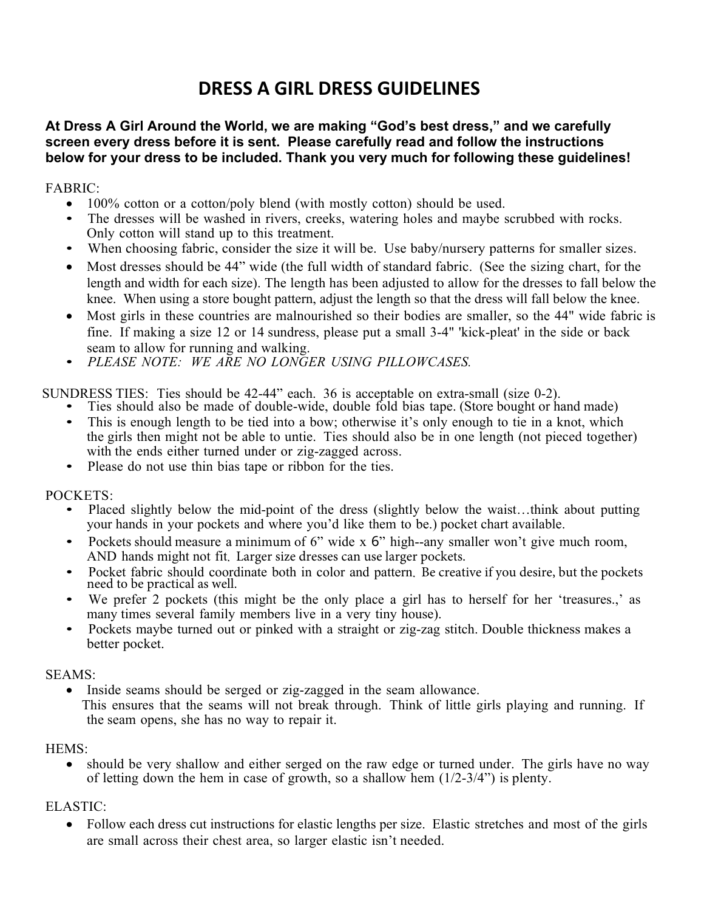# **DRESS A GIRL DRESS GUIDELINES**

# **At Dress A Girl Around the World, we are making "God's best dress," and we carefully screen every dress before it is sent. Please carefully read and follow the instructions below for your dress to be included. Thank you very much for following these guidelines!**

## FABRIC:

- 
- 100% cotton or a cotton/poly blend (with mostly cotton) should be used.<br>• The dresses will be washed in rivers, creeks, watering holes and maybe scrubbed with rocks.
- 
- **DRESS A GIRL DRESS GUIDELINES**<br> **Dress A Girl Around the World, we are making "God's best dress," and we carefully<br>
<b>oen every dress before it is sent. Please carefully read and follow the instructions**<br> **ow for your dres** length and width for each size). The length has been adjusted to allow for the dresses to fall below the knee. When using a store bought pattern, adjust the length so that the dress will fall below the knee. **ss A Girl Around the World, we are making "God's best dress," and we carefully<br>a every dress before it is sent. Please carefully read and follow the instructions<br>for your dress to be included. Thank you very much for fol** seam to allow for your dress to be included. Thank you very much for following the<br> **BRIC:**<br>
• 100% cotton or a cotton/poly blend (with mostly cotton) should be used.<br>
• The dresses will be washed in rivers, creeks, wateri The unesses win the washed in Tivets, creating might notes and maybe scrubbed wint rocks.<br>Only coton will stand up to this teatment.<br>When choosing fabric, consider the size it will be. Use baby/nursery patterns for smaller
- Most girls in these countries are malnourished so their bodies are smaller, so the 44" wide fabric is
- 

- 
- SUNDRESS TIES: Ties should be 42-44" each. 36 is acceptable on extra-small (size 0-2).<br>• Ties should also be made of double-wide, double fold bias tape. (Store bought or hand made)<br>• This is enough length to be tied into a with the ends either turned under or zig-zagged across.<br>• Please do not use thin bias tape or ribbon for the ties.
	-

POCKETS:

- Placed slightly below the mid-point of the dress (slightly below the waist...think about putting your hands in your pockets and where you'd like them to be.) pocket chart available.
- Pockets should measure a minimum of 6" wide x 6" high--any smaller won't give much room, AND hands might not fit. Larger size dresses can use larger pockets.
- Pocket fabric should coordinate both in color and pattern. Be creative if you desire, but the pockets need to be practical as well.
- We prefer 2 pockets (this might be the only place a girl has to herself for her 'treasures.,' as many times several family members live in a very tiny house). ETS:<br>
Placed slightly below the mid-point of the dress (slightly below the waist...think about putting<br>
Placed signal your pockets and where you'd like them to be.) pocket chart available.<br>
Pockets should measure a minimu Pockets should measure a minimum of 6" wide x 6" high--any smaller won't give much room,<br>AND hands might not fit. Larger size dresses can use larger pockets.<br>
Pocket fabric should coordinate both in color and pattern. Be
	- Pockets maybe turned out or pinked with a straight or zig-zag stitch. Double thickness makes a better pocket.

### SEAMS:

• Inside seams should be serged or zig-zagged in the seam allowance.

the seam opens, she has no way to repair it.

of letting down the hem in case of growth, so a shallow hem (1/2-3/4") is plenty.

# ELASTIC:

• Follow each dress cut instructions for elastic lengths per size. Elastic stretches and most of the girls are small across their chest area, so larger elastic isn't needed.